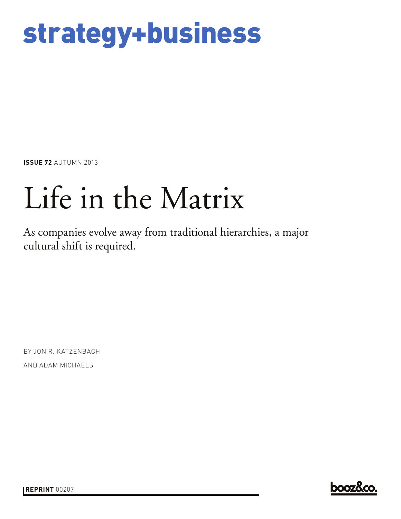## strategy+business

**ISSUE 72** AUTUMN 2013

# Life in the Matrix

As companies evolve away from traditional hierarchies, a major cultural shift is required.

BY JON R. KATZENBACH AND ADAM MICHAELS

**booz&co.** 

**REPRINT** 00207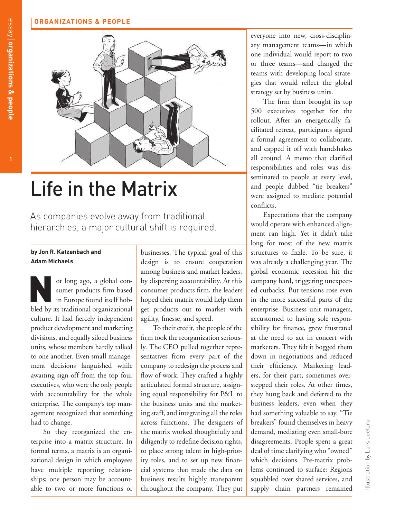## **ORGANIZATIONS & PEOPLE**



## Life in the Matrix

As companies evolve away from traditional hierarchies, a major cultural shift is required.

### **by Jon R. Katzenbach and Adam Michaels**

ot long ago, a global consumer products firm based bled by its traditional organizational culture. It had fiercely independent product development and marketing divisions, and equally siloed business units, whose members hardly talked to one another. Even small management decisions languished while awaiting sign-off from the top four executives, who were the only people with accountability for the whole enterprise. The company's top management recognized that something had to change.

So they reorganized the enterprise into a matrix structure. In formal terms, a matrix is an organizational design in which employees have multiple reporting relationships; one person may be accountable to two or more functions or

businesses. The typical goal of this design is to ensure cooperation among business and market leaders, by dispersing accountability. At this consumer products firm, the leaders hoped their matrix would help them get products out to market with agility, finesse, and speed.

To their credit, the people of the firm took the reorganization seriously. The CEO pulled together representatives from every part of the company to redesign the process and flow of work. They crafted a highly articulated formal structure, assigning equal responsibility for P&L to the business units and the marketing staff, and integrating all the roles across functions. The designers of the matrix worked thoughtfully and diligently to redefine decision rights, to place strong talent in high-priority roles, and to set up new financial systems that made the data on business results highly transparent throughout the company. They put

everyone into new, cross-disciplinary management teams—in which one individual would report to two or three teams—and charged the teams with developing local strategies that would reflect the global strategy set by business units.

The firm then brought its top 500 executives together for the rollout. After an energetically facilitated retreat, participants signed a formal agreement to collaborate, and capped it off with handshakes all around. A memo that clarified responsibilities and roles was disseminated to people at every level, and people dubbed "tie breakers" were assigned to mediate potential conflicts.

Expectations that the company would operate with enhanced alignment ran high. Yet it didn't take long for most of the new matrix structures to fizzle. To be sure, it was already a challenging year. The global economic recession hit the company hard, triggering unexpected cutbacks. But tensions rose even in the more successful parts of the enterprise. Business unit managers, accustomed to having sole responsibility for finance, grew frustrated at the need to act in concert with marketers. They felt it bogged them down in negotiations and reduced their efficiency. Marketing leaders, for their part, sometimes overstepped their roles. At other times, they hung back and deferred to the business leaders, even when they had something valuable to say. "Tie breakers" found themselves in heavy demand, mediating even small-bore disagreements. People spent a great deal of time clarifying who "owned" which decisions. Pre-matrix problems continued to surface: Regions squabbled over shared services, and supply chain partners remained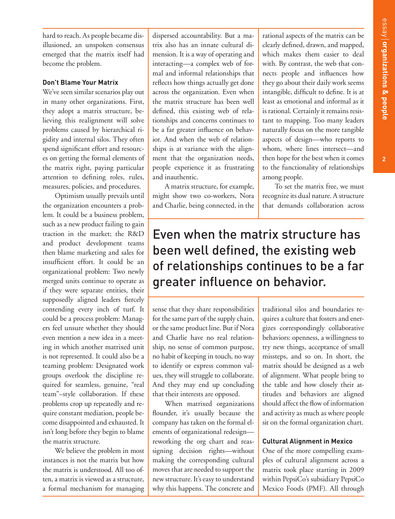hard to reach. As people became disillusioned, an unspoken consensus emerged that the matrix itself had become the problem.

## **Don't Blame Your Matrix**

We've seen similar scenarios play out in many other organizations. First, they adopt a matrix structure, believing this realignment will solve problems caused by hierarchical rigidity and internal silos. They often spend significant effort and resources on getting the formal elements of the matrix right, paying particular attention to defining roles, rules, measures, policies, and procedures.

Optimism usually prevails until the organization encounters a problem. It could be a business problem, such as a new product failing to gain traction in the market; the R&D and product development teams then blame marketing and sales for insufficient effort. It could be an organizational problem: Two newly merged units continue to operate as if they were separate entities, their supposedly aligned leaders fiercely contending every inch of turf. It could be a process problem: Managers feel unsure whether they should even mention a new idea in a meeting in which another matrixed unit is not represented. It could also be a teaming problem: Designated work groups overlook the discipline required for seamless, genuine, "real team"–style collaboration. If these problems crop up repeatedly and require constant mediation, people become disappointed and exhausted. It isn't long before they begin to blame the matrix structure.

We believe the problem in most instances is not the matrix but how the matrix is understood. All too often, a matrix is viewed as a structure, a formal mechanism for managing dispersed accountability. But a matrix also has an innate cultural dimension. It is a way of operating and interacting—a complex web of formal and informal relationships that reflects how things actually get done across the organization. Even when the matrix structure has been well defined, this existing web of relationships and concerns continues to be a far greater influence on behavior. And when the web of relationships is at variance with the alignment that the organization needs, people experience it as frustrating and inauthentic.

A matrix structure, for example, might show two co-workers, Nora and Charlie, being connected, in the

rational aspects of the matrix can be clearly defined, drawn, and mapped, which makes them easier to deal with. By contrast, the web that connects people and influences how they go about their daily work seems intangible, difficult to define. It is at least as emotional and informal as it is rational. Certainly it remains resistant to mapping. Too many leaders naturally focus on the more tangible aspects of design—who reports to whom, where lines intersect—and then hope for the best when it comes to the functionality of relationships among people.

To set the matrix free, we must recognize its dual nature. A structure that demands collaboration across

## Even when the matrix structure has been well defined, the existing web of relationships continues to be a far greater influence on behavior.

sense that they share responsibilities for the same part of the supply chain, or the same product line. But if Nora and Charlie have no real relationship, no sense of common purpose, no habit of keeping in touch, no way to identify or express common values, they will struggle to collaborate. And they may end up concluding that their interests are opposed.

When matrixed organizations flounder, it's usually because the company has taken on the formal elements of organizational redesign reworking the org chart and reassigning decision rights—without making the corresponding cultural moves that are needed to support the new structure. It's easy to understand why this happens. The concrete and traditional silos and boundaries requires a culture that fosters and energizes correspondingly collaborative behaviors: openness, a willingness to try new things, acceptance of small missteps, and so on. In short, the matrix should be designed as a web of alignment. What people bring to the table and how closely their attitudes and behaviors are aligned should affect the flow of information and activity as much as where people sit on the formal organization chart.

## **Cultural Alignment in Mexico**

One of the more compelling examples of cultural alignment across a matrix took place starting in 2009 within PepsiCo's subsidiary PepsiCo Mexico Foods (PMF). All through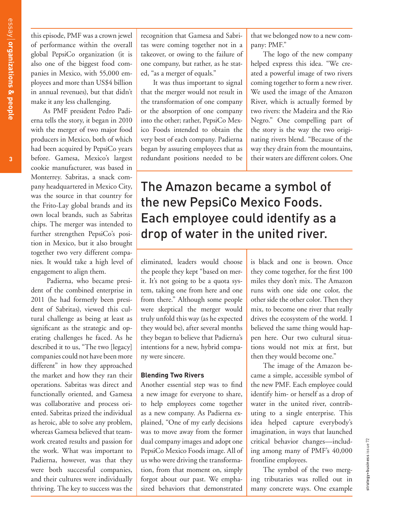this episode, PMF was a crown jewel of performance within the overall global PepsiCo organization (it is also one of the biggest food companies in Mexico, with 55,000 employees and more than US\$4 billion in annual revenues), but that didn't make it any less challenging.

As PMF president Pedro Padierna tells the story, it began in 2010 with the merger of two major food producers in Mexico, both of which had been acquired by PepsiCo years before. Gamesa, Mexico's largest cookie manufacturer, was based in Monterrey. Sabritas, a snack company headquartered in Mexico City, was the source in that country for the Frito-Lay global brands and its own local brands, such as Sabritas chips. The merger was intended to further strengthen PepsiCo's position in Mexico, but it also brought together two very different companies. It would take a high level of engagement to align them.

 Padierna, who became president of the combined enterprise in 2011 (he had formerly been president of Sabritas), viewed this cultural challenge as being at least as significant as the strategic and operating challenges he faced. As he described it to us, "The two [legacy] companies could not have been more different" in how they approached the market and how they ran their operations. Sabritas was direct and functionally oriented, and Gamesa was collaborative and process oriented. Sabritas prized the individual as heroic, able to solve any problem, whereas Gamesa believed that teamwork created results and passion for the work. What was important to Padierna, however, was that they were both successful companies, and their cultures were individually thriving. The key to success was the

recognition that Gamesa and Sabritas were coming together not in a takeover, or owing to the failure of one company, but rather, as he stated, "as a merger of equals."

It was thus important to signal that the merger would not result in the transformation of one company or the absorption of one company into the other; rather, PepsiCo Mexico Foods intended to obtain the very best of each company. Padierna began by assuring employees that as redundant positions needed to be

that we belonged now to a new company: PMF."

The logo of the new company helped express this idea. "We created a powerful image of two rivers coming together to form a new river. We used the image of the Amazon River, which is actually formed by two rivers: the Madeira and the Rio Negro." One compelling part of the story is the way the two originating rivers blend. "Because of the way they drain from the mountains, their waters are different colors. One

## The Amazon became a symbol of the new PepsiCo Mexico Foods. Each employee could identify as a drop of water in the united river.

eliminated, leaders would choose the people they kept "based on merit. It's not going to be a quota system, taking one from here and one from there." Although some people were skeptical the merger would truly unfold this way (as he expected they would be), after several months they began to believe that Padierna's intentions for a new, hybrid company were sincere.

#### **Blending Two Rivers**

Another essential step was to find a new image for everyone to share, to help employees come together as a new company. As Padierna explained, "One of my early decisions was to move away from the former dual company images and adopt one PepsiCo Mexico Foods image. All of us who were driving the transformation, from that moment on, simply forgot about our past. We emphasized behaviors that demonstrated is black and one is brown. Once they come together, for the first 100 miles they don't mix. The Amazon runs with one side one color, the other side the other color. Then they mix, to become one river that really drives the ecosystem of the world. I believed the same thing would happen here. Our two cultural situations would not mix at first, but then they would become one."

The image of the Amazon became a simple, accessible symbol of the new PMF. Each employee could identify him- or herself as a drop of water in the united river, contributing to a single enterprise. This idea helped capture everybody's imagination, in ways that launched critical behavior changes—including among many of PMF's 40,000 frontline employees.

The symbol of the two merging tributaries was rolled out in many concrete ways. One example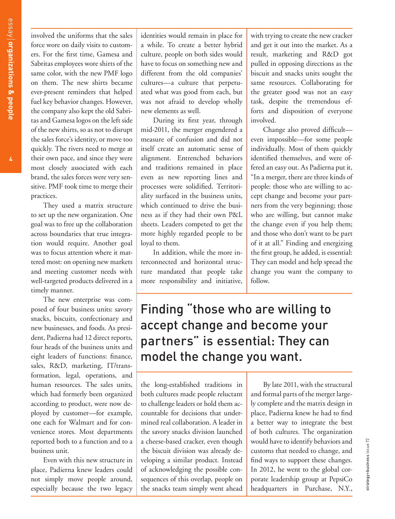involved the uniforms that the sales force wore on daily visits to customers. For the first time, Gamesa and Sabritas employees wore shirts of the same color, with the new PMF logo on them. The new shirts became ever-present reminders that helped fuel key behavior changes. However, the company also kept the old Sabritas and Gamesa logos on the left side of the new shirts, so as not to disrupt the sales force's identity, or move too quickly. The rivers need to merge at their own pace, and since they were most closely associated with each brand, the sales forces were very sensitive. PMF took time to merge their practices.

They used a matrix structure to set up the new organization. One goal was to free up the collaboration across boundaries that true integration would require. Another goal was to focus attention where it mattered most: on opening new markets and meeting customer needs with well-targeted products delivered in a timely manner.

The new enterprise was composed of four business units: savory snacks, biscuits, confectionary and new businesses, and foods. As president, Padierna had 12 direct reports, four heads of the business units and eight leaders of functions: finance, sales, R&D, marketing, IT/transformation, legal, operations, and human resources. The sales units, which had formerly been organized according to product, were now deployed by customer—for example, one each for Walmart and for convenience stores. Most departments reported both to a function and to a business unit.

Even with this new structure in place, Padierna knew leaders could not simply move people around, especially because the two legacy identities would remain in place for a while. To create a better hybrid culture, people on both sides would have to focus on something new and different from the old companies' cultures—a culture that perpetuated what was good from each, but was not afraid to develop wholly new elements as well.

During its first year, through mid-2011, the merger engendered a measure of confusion and did not itself create an automatic sense of alignment. Entrenched behaviors and traditions remained in place even as new reporting lines and processes were solidified. Territoriality surfaced in the business units, which continued to drive the business as if they had their own P&L sheets. Leaders competed to get the more highly regarded people to be loyal to them.

In addition, while the more interconnected and horizontal structure mandated that people take more responsibility and initiative,

with trying to create the new cracker and get it out into the market. As a result, marketing and R&D got pulled in opposing directions as the biscuit and snacks units sought the same resources. Collaborating for the greater good was not an easy task, despite the tremendous efforts and disposition of everyone involved.

Change also proved difficult even impossible—for some people individually. Most of them quickly identified themselves, and were offered an easy out. As Padierna put it, "In a merger, there are three kinds of people: those who are willing to accept change and become your partners from the very beginning; those who are willing, but cannot make the change even if you help them; and those who don't want to be part of it at all." Finding and energizing the first group, he added, is essential: They can model and help spread the change you want the company to follow.

## Finding "those who are willing to accept change and become your partners" is essential: They can model the change you want.

the long-established traditions in both cultures made people reluctant to challenge leaders or hold them accountable for decisions that undermined real collaboration. A leader in the savory snacks division launched a cheese-based cracker, even though the biscuit division was already developing a similar product. Instead of acknowledging the possible consequences of this overlap, people on the snacks team simply went ahead

By late 2011, with the structural and formal parts of the merger largely complete and the matrix design in place, Padierna knew he had to find a better way to integrate the best of both cultures. The organization would have to identify behaviors and customs that needed to change, and find ways to support these changes. In 2012, he went to the global corporate leadership group at PepsiCo headquarters in Purchase, N.Y.,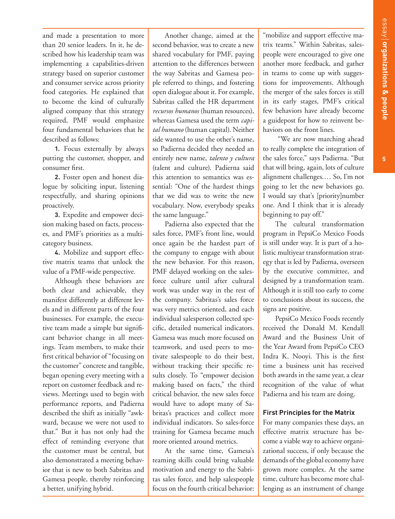**5**

and made a presentation to more than 20 senior leaders. In it, he described how his leadership team was implementing a capabilities-driven strategy based on superior customer and consumer service across priority food categories. He explained that to become the kind of culturally aligned company that this strategy required, PMF would emphasize four fundamental behaviors that he described as follows:

**1.** Focus externally by always putting the customer, shopper, and consumer first.

**2.** Foster open and honest dialogue by soliciting input, listening respectfully, and sharing opinions proactively.

**3.** Expedite and empower decision making based on facts, processes, and PMF's priorities as a multicategory business.

**4.** Mobilize and support effective matrix teams that unlock the value of a PMF-wide perspective.

Although these behaviors are both clear and achievable, they manifest differently at different levels and in different parts of the four businesses. For example, the executive team made a simple but significant behavior change in all meetings. Team members, to make their first critical behavior of "focusing on the customer" concrete and tangible, began opening every meeting with a report on customer feedback and reviews. Meetings used to begin with performance reports, and Padierna described the shift as initially "awkward, because we were not used to that." But it has not only had the effect of reminding everyone that the customer must be central, but also demonstrated a meeting behavior that is new to both Sabritas and Gamesa people, thereby reinforcing a better, unifying hybrid.

Another change, aimed at the second behavior, was to create a new shared vocabulary for PMF, paying attention to the differences between the way Sabritas and Gamesa people referred to things, and fostering open dialogue about it. For example, Sabritas called the HR department *recursos humanos* (human resources), whereas Gamesa used the term *capital humano* (human capital). Neither side wanted to use the other's name, so Padierna decided they needed an entirely new name, *talento y cultura* (talent and culture). Padierna said this attention to semantics was essential: "One of the hardest things that we did was to write the new vocabulary. Now, everybody speaks the same language."

Padierna also expected that the sales force, PMF's front line, would once again be the hardest part of the company to engage with about the new behavior. For this reason, PMF delayed working on the salesforce culture until after cultural work was under way in the rest of the company. Sabritas's sales force was very metrics oriented, and each individual salesperson collected specific, detailed numerical indicators. Gamesa was much more focused on teamwork, and used peers to motivate salespeople to do their best, without tracking their specific results closely. To "empower decision making based on facts," the third critical behavior, the new sales force would have to adopt many of Sabritas's practices and collect more individual indicators. So sales-force training for Gamesa became much more oriented around metrics.

At the same time, Gamesa's teaming skills could bring valuable motivation and energy to the Sabritas sales force, and help salespeople focus on the fourth critical behavior:

"mobilize and support effective matrix teams." Within Sabritas, salespeople were encouraged to give one another more feedback, and gather in teams to come up with suggestions for improvements. Although the merger of the sales forces is still in its early stages, PMF's critical few behaviors have already become a guidepost for how to reinvent behaviors on the front lines.

 "We are now marching ahead to really complete the integration of the sales force," says Padierna. "But that will bring, again, lots of culture alignment challenges.… So, I'm not going to let the new behaviors go. I would say that's [priority]number one. And I think that it is already beginning to pay off."

The cultural transformation program in PepsiCo Mexico Foods is still under way. It is part of a holistic multiyear transformation strategy that is led by Padierna, overseen by the executive committee, and designed by a transformation team. Although it is still too early to come to conclusions about its success, the signs are positive.

PepsiCo Mexico Foods recently received the Donald M. Kendall Award and the Business Unit of the Year Award from PepsiCo CEO Indra K. Nooyi. This is the first time a business unit has received both awards in the same year, a clear recognition of the value of what Padierna and his team are doing.

## **First Principles for the Matrix**

For many companies these days, an effective matrix structure has become a viable way to achieve organizational success, if only because the demands of the global economy have grown more complex. At the same time, culture has become more challenging as an instrument of change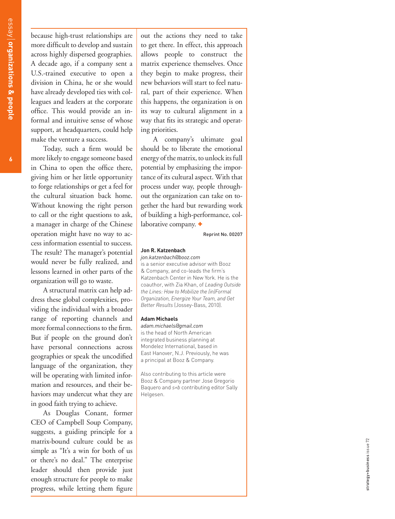because high-trust relationships are more difficult to develop and sustain across highly dispersed geographies. A decade ago, if a company sent a U.S.-trained executive to open a division in China, he or she would have already developed ties with col leagues and leaders at the corporate office. This would provide an in formal and intuitive sense of whose support, at headquarters, could help make the venture a success.

Today, such a firm would be more likely to engage someone based in China to open the office there, giving him or her little opportunity to forge relationships or get a feel for the cultural situation back home. Without knowing the right person to call or the right questions to ask, a manager in charge of the Chinese operation might have no way to ac cess information essential to success. The result? The manager's potential would never be fully realized, and lessons learned in other parts of the organization will go to waste.

A structural matrix can help ad dress these global complexities, pro viding the individual with a broader range of reporting channels and more formal connections to the firm. But if people on the ground don't have personal connections across geographies or speak the uncodified language of the organization, they will be operating with limited information and resources, and their behaviors may undercut what they are in good faith trying to achieve.

As Douglas Conant, former CEO of Campbell Soup Company, suggests, a guiding principle for a matrix-bound culture could be as simple as "It's a win for both of us or there's no deal." The enterprise leader should then provide just enough structure for people to make progress, while letting them figure

out the actions they need to take to get there. In effect, this approach allows people to construct the matrix experience themselves. Once they begin to make progress, their new behaviors will start to feel natu ral, part of their experience. When this happens, the organization is on its way to cultural alignment in a way that fits its strategic and operating priorities.

A company's ultimate goal should be to liberate the emotional energy of the matrix, to unlock its full potential by emphasizing the importance of its cultural aspect. With that process under way, people through out the organization can take on to gether the hard but rewarding work of building a high-performance, col laborative company. +

Reprint No. 00207

#### **Jon R. Katzenbach**

*jon.katzenbach@booz.com* 

is a senior executive advisor with Booz & Company, and co-leads the firm's Katzenbach Center in New York. He is the coauthor, with Zia Khan, of *Leading Outside the Lines: How to Mobilize the (in)Formal Organization, Energize Your Team, and Get Better Results* (Jossey-Bass, 2010).

#### **Adam Michaels**

*adam.michaels@gmail.com* is the head of North American integrated business planning at Mondelez International, based in East Hanover, N.J. Previously, he was a principal at Booz & Company.

Also contributing to this article were Booz & Company partner Jose Gregorio Baquero and *s+b* contributing editor Sally Helgesen.